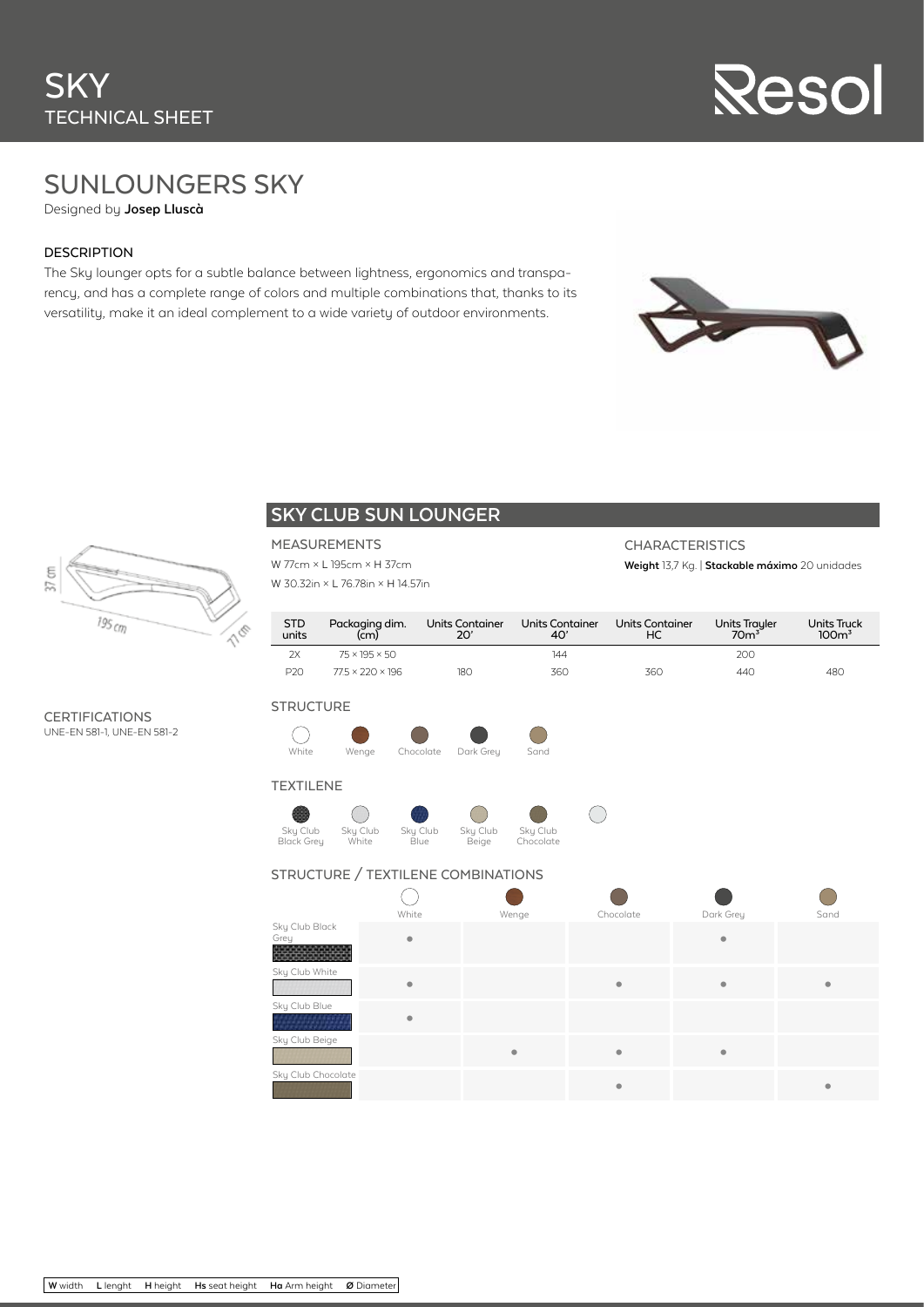

## SUNLOUNGERS SKY

Designed by **Josep Lluscà**

### DESCRIPTION

The Sky lounger opts for a subtle balance between lightness, ergonomics and transparency, and has a complete range of colors and multiple combinations that, thanks to its versatility, make it an ideal complement to a wide variety of outdoor environments.



**Weight** 13,7 Kg. | **Stackable máximo** 20 unidades

**CHARACTERISTICS** 



### **SKY CLUB SUN LOUNGER**

### MEASUREMENTS

W 77cm × L 195cm × H 37cm W 30.32in × L 76.78in × H 14.57in

| <b>STD</b><br>units | Packaging dim.<br>(cm)       | Units Container<br>20' | Units Container | Units Container<br>HC. | Units Trayler<br>70m <sup>3</sup> | <b>Units Truck</b><br>100 <sup>3</sup> |
|---------------------|------------------------------|------------------------|-----------------|------------------------|-----------------------------------|----------------------------------------|
| 2x                  | $75 \times 195 \times 50$    |                        | 144             |                        | 200                               |                                        |
| P <sub>20</sub>     | $77.5 \times 220 \times 196$ | 18C                    | 360             | 36C                    | 440                               | 480                                    |

### **CERTIFICATIONS** UNE-EN 581-1, UNE-EN 581-2





### TEXTILENE







 $\left( \begin{array}{c} \end{array} \right)$ 

### STRUCTURE / TEXTILENE COMBINATIONS

|                        | White                   | Wenge | Chocolate               | Dark Grey | Sand      |
|------------------------|-------------------------|-------|-------------------------|-----------|-----------|
| Sky Club Black<br>Grey | $\bullet$               |       |                         | ۰         |           |
| Sky Club White         | $\qquad \qquad \bullet$ |       | $\qquad \qquad \bullet$ | ٠         | $\bullet$ |
| Sky Club Blue          | ۰                       |       |                         |           |           |
| Sky Club Beige         |                         |       | $\bullet$               | ٠         |           |
| Sky Club Chocolate     |                         |       | $\bullet$               |           | ۰         |